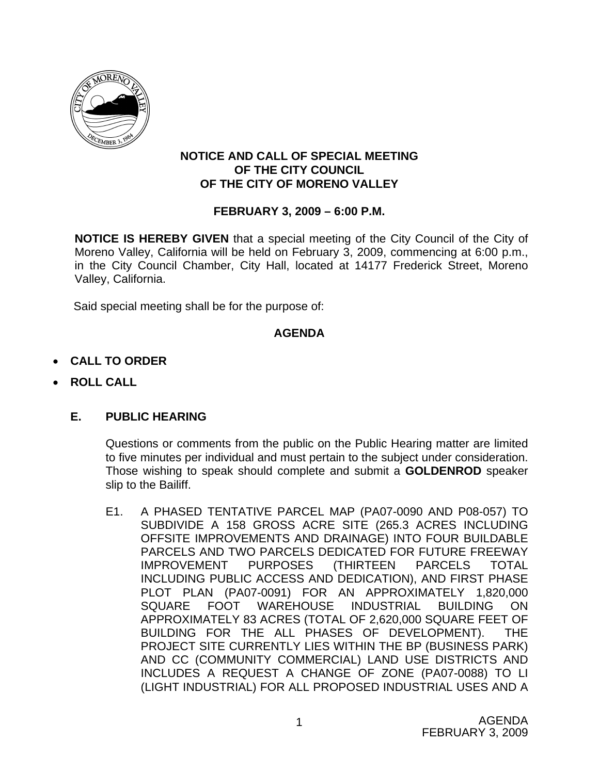

## **NOTICE AND CALL OF SPECIAL MEETING OF THE CITY COUNCIL OF THE CITY OF MORENO VALLEY**

# **FEBRUARY 3, 2009 – 6:00 P.M.**

**NOTICE IS HEREBY GIVEN** that a special meeting of the City Council of the City of Moreno Valley, California will be held on February 3, 2009, commencing at 6:00 p.m., in the City Council Chamber, City Hall, located at 14177 Frederick Street, Moreno Valley, California.

Said special meeting shall be for the purpose of:

# **AGENDA**

- **CALL TO ORDER**
- **ROLL CALL**

# **E. PUBLIC HEARING**

Questions or comments from the public on the Public Hearing matter are limited to five minutes per individual and must pertain to the subject under consideration. Those wishing to speak should complete and submit a **GOLDENROD** speaker slip to the Bailiff.

E1. A PHASED TENTATIVE PARCEL MAP (PA07-0090 AND P08-057) TO SUBDIVIDE A 158 GROSS ACRE SITE (265.3 ACRES INCLUDING OFFSITE IMPROVEMENTS AND DRAINAGE) INTO FOUR BUILDABLE PARCELS AND TWO PARCELS DEDICATED FOR FUTURE FREEWAY IMPROVEMENT PURPOSES (THIRTEEN PARCELS TOTAL INCLUDING PUBLIC ACCESS AND DEDICATION), AND FIRST PHASE PLOT PLAN (PA07-0091) FOR AN APPROXIMATELY 1,820,000 SQUARE FOOT WAREHOUSE INDUSTRIAL BUILDING ON APPROXIMATELY 83 ACRES (TOTAL OF 2,620,000 SQUARE FEET OF BUILDING FOR THE ALL PHASES OF DEVELOPMENT). THE PROJECT SITE CURRENTLY LIES WITHIN THE BP (BUSINESS PARK) AND CC (COMMUNITY COMMERCIAL) LAND USE DISTRICTS AND INCLUDES A REQUEST A CHANGE OF ZONE (PA07-0088) TO LI (LIGHT INDUSTRIAL) FOR ALL PROPOSED INDUSTRIAL USES AND A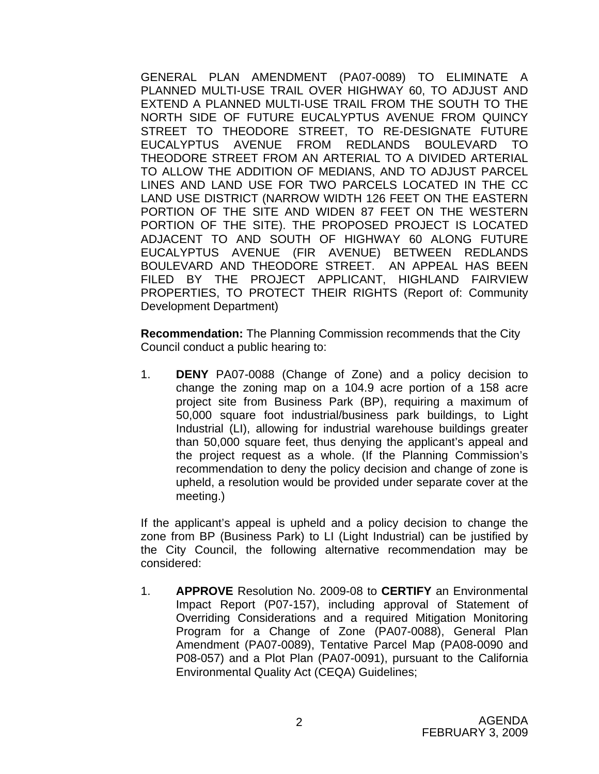GENERAL PLAN AMENDMENT (PA07-0089) TO ELIMINATE A PLANNED MULTI-USE TRAIL OVER HIGHWAY 60, TO ADJUST AND EXTEND A PLANNED MULTI-USE TRAIL FROM THE SOUTH TO THE NORTH SIDE OF FUTURE EUCALYPTUS AVENUE FROM QUINCY STREET TO THEODORE STREET, TO RE-DESIGNATE FUTURE EUCALYPTUS AVENUE FROM REDLANDS BOULEVARD TO THEODORE STREET FROM AN ARTERIAL TO A DIVIDED ARTERIAL TO ALLOW THE ADDITION OF MEDIANS, AND TO ADJUST PARCEL LINES AND LAND USE FOR TWO PARCELS LOCATED IN THE CC LAND USE DISTRICT (NARROW WIDTH 126 FEET ON THE EASTERN PORTION OF THE SITE AND WIDEN 87 FEET ON THE WESTERN PORTION OF THE SITE). THE PROPOSED PROJECT IS LOCATED ADJACENT TO AND SOUTH OF HIGHWAY 60 ALONG FUTURE EUCALYPTUS AVENUE (FIR AVENUE) BETWEEN REDLANDS BOULEVARD AND THEODORE STREET. AN APPEAL HAS BEEN FILED BY THE PROJECT APPLICANT, HIGHLAND FAIRVIEW PROPERTIES, TO PROTECT THEIR RIGHTS (Report of: Community Development Department)

 **Recommendation:** The Planning Commission recommends that the City Council conduct a public hearing to:

1. **DENY** PA07-0088 (Change of Zone) and a policy decision to change the zoning map on a 104.9 acre portion of a 158 acre project site from Business Park (BP), requiring a maximum of 50,000 square foot industrial/business park buildings, to Light Industrial (LI), allowing for industrial warehouse buildings greater than 50,000 square feet, thus denying the applicant's appeal and the project request as a whole. (If the Planning Commission's recommendation to deny the policy decision and change of zone is upheld, a resolution would be provided under separate cover at the meeting.)

If the applicant's appeal is upheld and a policy decision to change the zone from BP (Business Park) to LI (Light Industrial) can be justified by the City Council, the following alternative recommendation may be considered:

1. **APPROVE** Resolution No. 2009-08 to **CERTIFY** an Environmental Impact Report (P07-157), including approval of Statement of Overriding Considerations and a required Mitigation Monitoring Program for a Change of Zone (PA07-0088), General Plan Amendment (PA07-0089), Tentative Parcel Map (PA08-0090 and P08-057) and a Plot Plan (PA07-0091), pursuant to the California Environmental Quality Act (CEQA) Guidelines;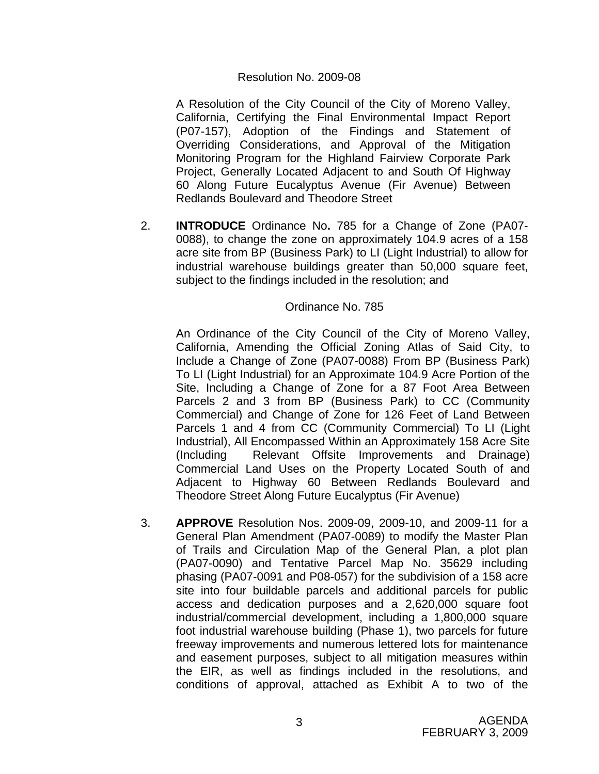### Resolution No. 2009-08

A Resolution of the City Council of the City of Moreno Valley, California, Certifying the Final Environmental Impact Report (P07-157), Adoption of the Findings and Statement of Overriding Considerations, and Approval of the Mitigation Monitoring Program for the Highland Fairview Corporate Park Project, Generally Located Adjacent to and South Of Highway 60 Along Future Eucalyptus Avenue (Fir Avenue) Between Redlands Boulevard and Theodore Street

2. **INTRODUCE** Ordinance No**.** 785 for a Change of Zone (PA07- 0088), to change the zone on approximately 104.9 acres of a 158 acre site from BP (Business Park) to LI (Light Industrial) to allow for industrial warehouse buildings greater than 50,000 square feet, subject to the findings included in the resolution; and

#### Ordinance No. 785

An Ordinance of the City Council of the City of Moreno Valley, California, Amending the Official Zoning Atlas of Said City, to Include a Change of Zone (PA07-0088) From BP (Business Park) To LI (Light Industrial) for an Approximate 104.9 Acre Portion of the Site, Including a Change of Zone for a 87 Foot Area Between Parcels 2 and 3 from BP (Business Park) to CC (Community Commercial) and Change of Zone for 126 Feet of Land Between Parcels 1 and 4 from CC (Community Commercial) To LI (Light Industrial), All Encompassed Within an Approximately 158 Acre Site (Including Relevant Offsite Improvements and Drainage) Commercial Land Uses on the Property Located South of and Adjacent to Highway 60 Between Redlands Boulevard and Theodore Street Along Future Eucalyptus (Fir Avenue)

3. **APPROVE** Resolution Nos. 2009-09, 2009-10, and 2009-11 for a General Plan Amendment (PA07-0089) to modify the Master Plan of Trails and Circulation Map of the General Plan, a plot plan (PA07-0090) and Tentative Parcel Map No. 35629 including phasing (PA07-0091 and P08-057) for the subdivision of a 158 acre site into four buildable parcels and additional parcels for public access and dedication purposes and a 2,620,000 square foot industrial/commercial development, including a 1,800,000 square foot industrial warehouse building (Phase 1), two parcels for future freeway improvements and numerous lettered lots for maintenance and easement purposes, subject to all mitigation measures within the EIR, as well as findings included in the resolutions, and conditions of approval, attached as Exhibit A to two of the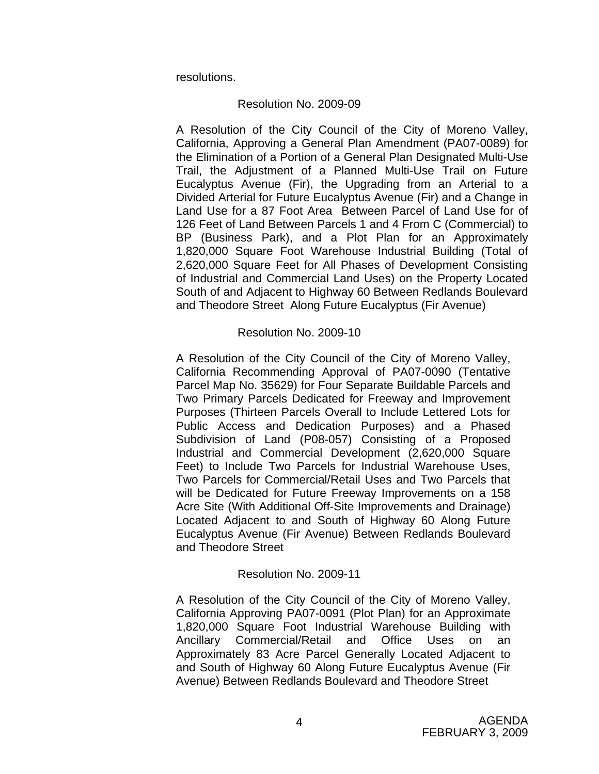resolutions.

### Resolution No. 2009-09

A Resolution of the City Council of the City of Moreno Valley, California, Approving a General Plan Amendment (PA07-0089) for the Elimination of a Portion of a General Plan Designated Multi-Use Trail, the Adjustment of a Planned Multi-Use Trail on Future Eucalyptus Avenue (Fir), the Upgrading from an Arterial to a Divided Arterial for Future Eucalyptus Avenue (Fir) and a Change in Land Use for a 87 Foot Area Between Parcel of Land Use for of 126 Feet of Land Between Parcels 1 and 4 From C (Commercial) to BP (Business Park), and a Plot Plan for an Approximately 1,820,000 Square Foot Warehouse Industrial Building (Total of 2,620,000 Square Feet for All Phases of Development Consisting of Industrial and Commercial Land Uses) on the Property Located South of and Adjacent to Highway 60 Between Redlands Boulevard and Theodore Street Along Future Eucalyptus (Fir Avenue)

## Resolution No. 2009-10

A Resolution of the City Council of the City of Moreno Valley, California Recommending Approval of PA07-0090 (Tentative Parcel Map No. 35629) for Four Separate Buildable Parcels and Two Primary Parcels Dedicated for Freeway and Improvement Purposes (Thirteen Parcels Overall to Include Lettered Lots for Public Access and Dedication Purposes) and a Phased Subdivision of Land (P08-057) Consisting of a Proposed Industrial and Commercial Development (2,620,000 Square Feet) to Include Two Parcels for Industrial Warehouse Uses, Two Parcels for Commercial/Retail Uses and Two Parcels that will be Dedicated for Future Freeway Improvements on a 158 Acre Site (With Additional Off-Site Improvements and Drainage) Located Adjacent to and South of Highway 60 Along Future Eucalyptus Avenue (Fir Avenue) Between Redlands Boulevard and Theodore Street

## Resolution No. 2009-11

A Resolution of the City Council of the City of Moreno Valley, California Approving PA07-0091 (Plot Plan) for an Approximate 1,820,000 Square Foot Industrial Warehouse Building with Ancillary Commercial/Retail and Office Uses on an Approximately 83 Acre Parcel Generally Located Adjacent to and South of Highway 60 Along Future Eucalyptus Avenue (Fir Avenue) Between Redlands Boulevard and Theodore Street